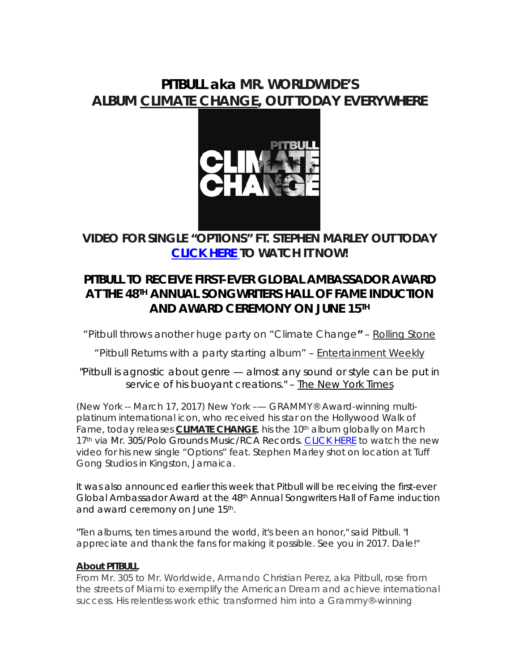# **PITBULL aka MR. WORLDWIDE'S ALBUM** *CLIMATE CHANGE***, OUT TODAY EVERYWHERE**



**VIDEO FOR SINGLE "OPTIONS" FT. STEPHEN MARLEY OUT TODAY [CLICK HERE](http://smarturl.it/OPTIONSv) TO WATCH IT NOW!**

# **PITBULL TO RECEIVE FIRST-EVER GLOBAL AMBASSADOR AWARD AT THE 48TH ANNUAL SONGWRITERS HALL OF FAME INDUCTION AND AWARD CEREMONY ON JUNE 15TH**

*"*Pitbull throws another huge party on "Climate Change*"* – *Rolling Stone*

*"*Pitbull Returns with a party starting album*" – Entertainment Weekly*

"Pitbull is agnostic about genre — almost any sound or style can be put in service of his buoyant creations." – *The New York Times*

(New York -- March 17, 2017) New York –— GRAMMY® Award-winning multiplatinum international icon, who received his star on the Hollywood Walk of Fame, today releases **CLIMATE CHANGE**, his the 10<sup>th</sup> album globally on March 17<sup>th</sup> via Mr. 305/Polo Grounds Music/RCA Records. [CLICK HERE](http://smarturl.it/OPTIONSv) to watch the new video for his new single "Options" feat. Stephen Marley shot on location at Tuff Gong Studios in Kingston, Jamaica.

It was also announced earlier this week that Pitbull will be receiving the first-ever Global Ambassador Award at the 48th Annual Songwriters Hall of Fame induction and award ceremony on June 15<sup>th</sup>.

"Ten albums, ten times around the world, it's been an honor," said Pitbull. "I appreciate and thank the fans for making it possible. See you in 2017. Dale!"

## **About PITBULL**

From Mr. 305 to Mr. Worldwide, Armando Christian Perez, aka Pitbull, rose from the streets of Miami to exemplify the American Dream and achieve international success. His relentless work ethic transformed him into a Grammy®-winning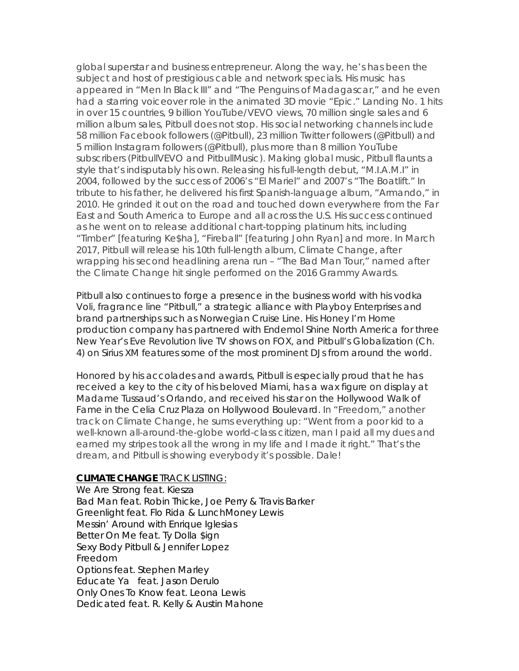global superstar and business entrepreneur. Along the way, he's has been the subject and host of prestigious cable and network specials. His music has appeared in "Men In Black III" and "The Penguins of Madagascar," and he even had a starring voiceover role in the animated 3D movie "Epic." Landing No. 1 hits in over 15 countries, 9 billion YouTube/VEVO views, 70 million single sales and 6 million album sales, Pitbull does not stop. His social networking channels include 58 million Facebook followers (@Pitbull), 23 million Twitter followers (@Pitbull) and 5 million Instagram followers (@Pitbull), plus more than 8 million YouTube subscribers (PitbullVEVO and PitbullMusic). Making global music, Pitbull flaunts a style that's indisputably his own. Releasing his full-length debut, "M.I.A.M.I" in 2004, followed by the success of 2006's "El Mariel" and 2007's "The Boatlift." In tribute to his father, he delivered his first Spanish-language album, "Armando," in 2010. He grinded it out on the road and touched down everywhere from the Far East and South America to Europe and all across the U.S. His success continued as he went on to release additional chart-topping platinum hits, including "Timber" [featuring Ke\$ha], "Fireball" [featuring John Ryan] and more. In March 2017, Pitbull will release his 10th full-length album, *Climate Change*, after wrapping his second headlining arena run – "The Bad Man Tour," named after the *Climate Change* hit single performed on the 2016 Grammy Awards.

Pitbull also continues to forge a presence in the business world with his vodka Voli, fragrance line "Pitbull," a strategic alliance with Playboy Enterprises and brand partnerships such as Norwegian Cruise Line. His Honey I'm Home production company has partnered with Endemol Shine North America for three New Year's Eve Revolution live TV shows on FOX, and Pitbull's Globalization (Ch. 4) on Sirius XM features some of the most prominent DJs from around the world.

Honored by his accolades and awards, Pitbull is especially proud that he has received a key to the city of his beloved Miami, has a wax figure on display at Madame Tussaud's Orlando, and received his star on the Hollywood Walk of Fame in the Celia Cruz Plaza on Hollywood Boulevard. In "Freedom," another track on *Climate Change*, he sums everything up: "Went from a poor kid to a well-known all-around-the-globe world-class citizen, man I paid all my dues and earned my stripes took all the wrong in my life and I made it right." That's the dream, and Pitbull is showing everybody it's possible. Dale!

#### *CLIMATE CHANGE* TRACK LISTING:

We Are Strong feat. Kiesza Bad Man feat. Robin Thicke, Joe Perry & Travis Barker Greenlight feat. Flo Rida & LunchMoney Lewis Messin' Around with Enrique Iglesias Better On Me feat. Ty Dolla \$ign Sexy Body Pitbull & Jennifer Lopez Freedom Options feat. Stephen Marley Educate Ya feat. Jason Derulo Only Ones To Know feat. Leona Lewis Dedicated feat. R. Kelly & Austin Mahone